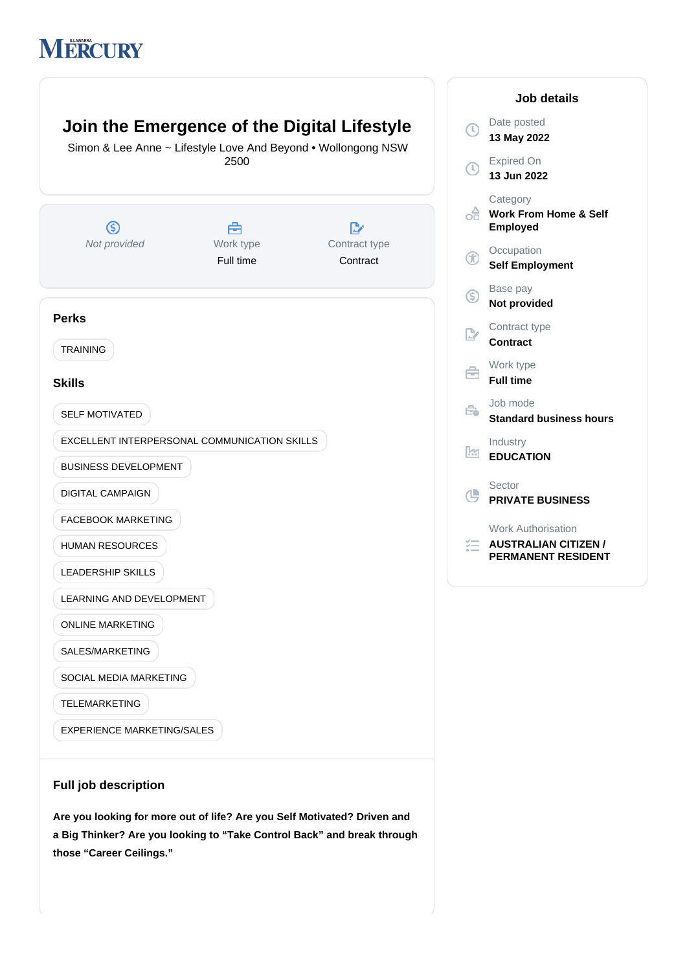# **MERCURY**



# Expired On **13 Jun 2022 Category OF Work From Home & Self Employed Occupation Self Employment** Base pay **Not provided** Contract type **Contract** Work type **Full time** Job mode **Standard business hours** Industry **EDUCATION** Sector **PRIVATE BUSINESS** Work Authorisation

**Job details**

**AUSTRALIAN CITIZEN / PERMANENT RESIDENT**

**Full job description**

**Are you looking for more out of life? Are you Self Motivated? Driven and a Big Thinker? Are you looking to "Take Control Back" and break through those "Career Ceilings."**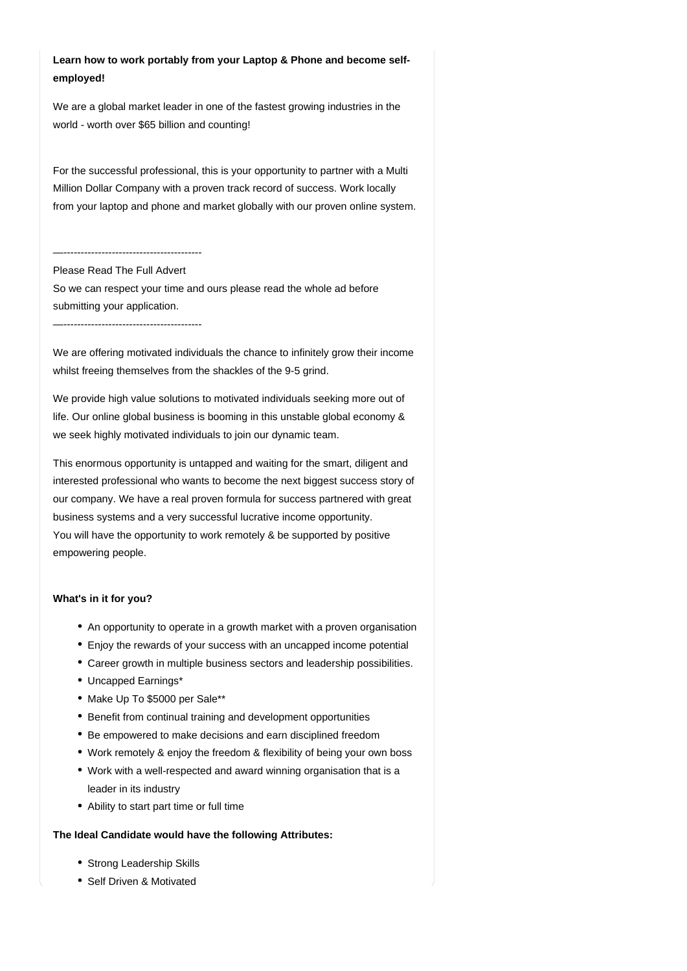# **Learn how to work portably from your Laptop & Phone and become selfemployed!**

We are a global market leader in one of the fastest growing industries in the world - worth over \$65 billion and counting!

For the successful professional, this is your opportunity to partner with a Multi Million Dollar Company with a proven track record of success. Work locally from your laptop and phone and market globally with our proven online system.

#### —----------------------------------------

### Please Read The Full Advert

So we can respect your time and ours please read the whole ad before submitting your application.

—----------------------------------------

We are offering motivated individuals the chance to infinitely grow their income whilst freeing themselves from the shackles of the 9-5 grind.

We provide high value solutions to motivated individuals seeking more out of life. Our online global business is booming in this unstable global economy & we seek highly motivated individuals to join our dynamic team.

This enormous opportunity is untapped and waiting for the smart, diligent and interested professional who wants to become the next biggest success story of our company. We have a real proven formula for success partnered with great business systems and a very successful lucrative income opportunity. You will have the opportunity to work remotely & be supported by positive empowering people.

#### **What's in it for you?**

- An opportunity to operate in a growth market with a proven organisation
- Enjoy the rewards of your success with an uncapped income potential
- Career growth in multiple business sectors and leadership possibilities.
- Uncapped Earnings\*
- Make Up To \$5000 per Sale\*\*
- Benefit from continual training and development opportunities
- Be empowered to make decisions and earn disciplined freedom
- Work remotely & enjoy the freedom & flexibility of being your own boss
- Work with a well-respected and award winning organisation that is a leader in its industry
- Ability to start part time or full time

#### **The Ideal Candidate would have the following Attributes:**

- Strong Leadership Skills
- Self Driven & Motivated